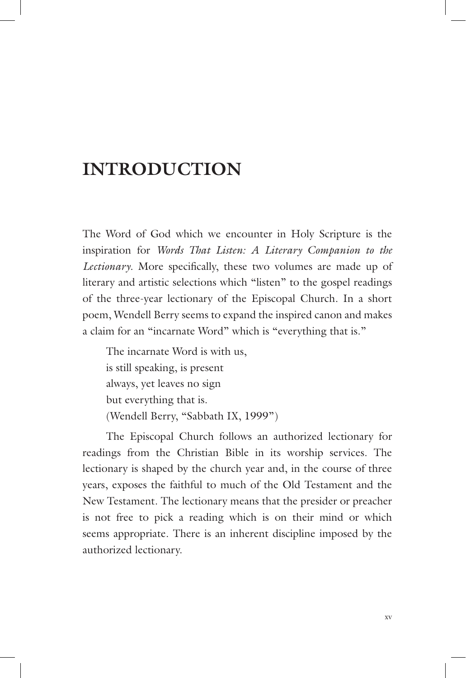# **INTRODUCTION**

The Word of God which we encounter in Holy Scripture is the inspiration for *Words That Listen: A Literary Companion to the Lectionary*. More specifically, these two volumes are made up of literary and artistic selections which "listen" to the gospel readings of the three-year lectionary of the Episcopal Church. In a short poem, Wendell Berry seems to expand the inspired canon and makes a claim for an "incarnate Word" which is "everything that is."

The incarnate Word is with us, is still speaking, is present always, yet leaves no sign but everything that is. (Wendell Berry, "Sabbath IX, 1999")

The Episcopal Church follows an authorized lectionary for readings from the Christian Bible in its worship services. The lectionary is shaped by the church year and, in the course of three years, exposes the faithful to much of the Old Testament and the New Testament. The lectionary means that the presider or preacher is not free to pick a reading which is on their mind or which seems appropriate. There is an inherent discipline imposed by the authorized lectionary.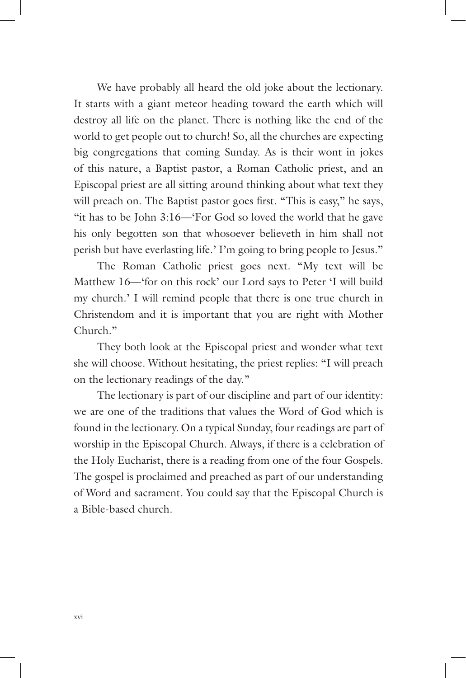We have probably all heard the old joke about the lectionary. It starts with a giant meteor heading toward the earth which will destroy all life on the planet. There is nothing like the end of the world to get people out to church! So, all the churches are expecting big congregations that coming Sunday. As is their wont in jokes of this nature, a Baptist pastor, a Roman Catholic priest, and an Episcopal priest are all sitting around thinking about what text they will preach on. The Baptist pastor goes first. "This is easy," he says, "it has to be John 3:16—'For God so loved the world that he gave his only begotten son that whosoever believeth in him shall not perish but have everlasting life.' I'm going to bring people to Jesus."

The Roman Catholic priest goes next. "My text will be Matthew 16—'for on this rock' our Lord says to Peter 'I will build my church.' I will remind people that there is one true church in Christendom and it is important that you are right with Mother Church."

They both look at the Episcopal priest and wonder what text she will choose. Without hesitating, the priest replies: "I will preach on the lectionary readings of the day."

The lectionary is part of our discipline and part of our identity: we are one of the traditions that values the Word of God which is found in the lectionary. On a typical Sunday, four readings are part of worship in the Episcopal Church. Always, if there is a celebration of the Holy Eucharist, there is a reading from one of the four Gospels. The gospel is proclaimed and preached as part of our understanding of Word and sacrament. You could say that the Episcopal Church is a Bible-based church.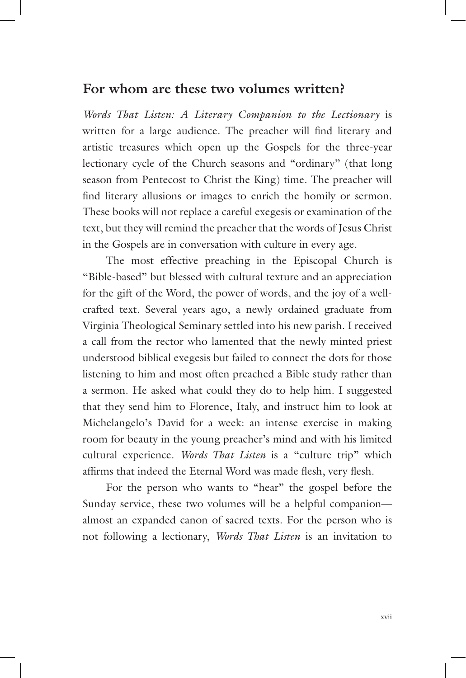#### **For whom are these two volumes written?**

*Words That Listen: A Literary Companion to the Lectionary* is written for a large audience. The preacher will find literary and artistic treasures which open up the Gospels for the three-year lectionary cycle of the Church seasons and "ordinary" (that long season from Pentecost to Christ the King) time. The preacher will find literary allusions or images to enrich the homily or sermon. These books will not replace a careful exegesis or examination of the text, but they will remind the preacher that the words of Jesus Christ in the Gospels are in conversation with culture in every age.

The most effective preaching in the Episcopal Church is "Bible-based" but blessed with cultural texture and an appreciation for the gift of the Word, the power of words, and the joy of a wellcrafted text. Several years ago, a newly ordained graduate from Virginia Theological Seminary settled into his new parish. I received a call from the rector who lamented that the newly minted priest understood biblical exegesis but failed to connect the dots for those listening to him and most often preached a Bible study rather than a sermon. He asked what could they do to help him. I suggested that they send him to Florence, Italy, and instruct him to look at Michelangelo's David for a week: an intense exercise in making room for beauty in the young preacher's mind and with his limited cultural experience. *Words That Listen* is a "culture trip" which affirms that indeed the Eternal Word was made flesh, very flesh.

For the person who wants to "hear" the gospel before the Sunday service, these two volumes will be a helpful companion almost an expanded canon of sacred texts. For the person who is not following a lectionary, *Words That Listen* is an invitation to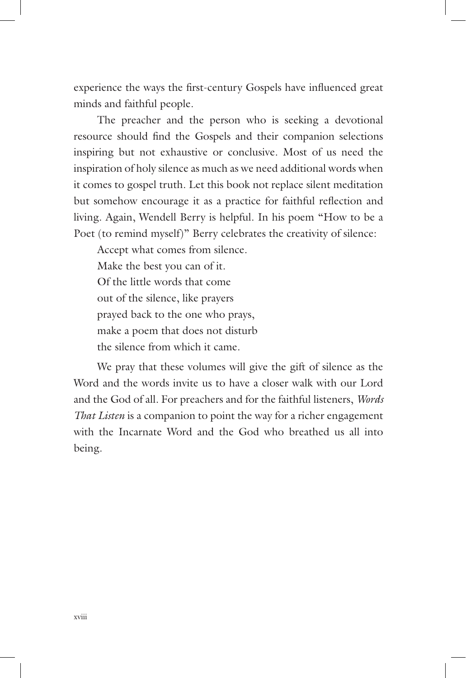experience the ways the first-century Gospels have influenced great minds and faithful people.

The preacher and the person who is seeking a devotional resource should find the Gospels and their companion selections inspiring but not exhaustive or conclusive. Most of us need the inspiration of holy silence as much as we need additional words when it comes to gospel truth. Let this book not replace silent meditation but somehow encourage it as a practice for faithful reflection and living. Again, Wendell Berry is helpful. In his poem "How to be a Poet (to remind myself)" Berry celebrates the creativity of silence:

Accept what comes from silence. Make the best you can of it. Of the little words that come out of the silence, like prayers prayed back to the one who prays, make a poem that does not disturb the silence from which it came.

We pray that these volumes will give the gift of silence as the Word and the words invite us to have a closer walk with our Lord and the God of all. For preachers and for the faithful listeners, *Words That Listen* is a companion to point the way for a richer engagement with the Incarnate Word and the God who breathed us all into being.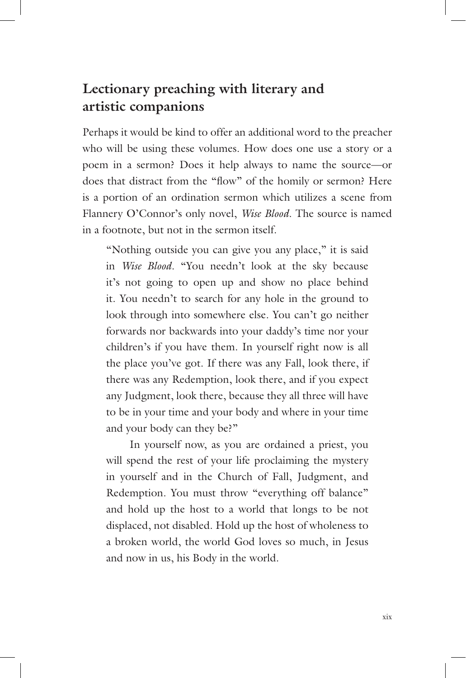## **Lectionary preaching with literary and artistic companions**

Perhaps it would be kind to offer an additional word to the preacher who will be using these volumes. How does one use a story or a poem in a sermon? Does it help always to name the source—or does that distract from the "flow" of the homily or sermon? Here is a portion of an ordination sermon which utilizes a scene from Flannery O'Connor's only novel, *Wise Blood*. The source is named in a footnote, but not in the sermon itself*.*

"Nothing outside you can give you any place," it is said in *Wise Blood*. "You needn't look at the sky because it's not going to open up and show no place behind it. You needn't to search for any hole in the ground to look through into somewhere else. You can't go neither forwards nor backwards into your daddy's time nor your children's if you have them. In yourself right now is all the place you've got. If there was any Fall, look there, if there was any Redemption, look there, and if you expect any Judgment, look there, because they all three will have to be in your time and your body and where in your time and your body can they be?"

In yourself now, as you are ordained a priest, you will spend the rest of your life proclaiming the mystery in yourself and in the Church of Fall, Judgment, and Redemption. You must throw "everything off balance" and hold up the host to a world that longs to be not displaced, not disabled. Hold up the host of wholeness to a broken world, the world God loves so much, in Jesus and now in us, his Body in the world.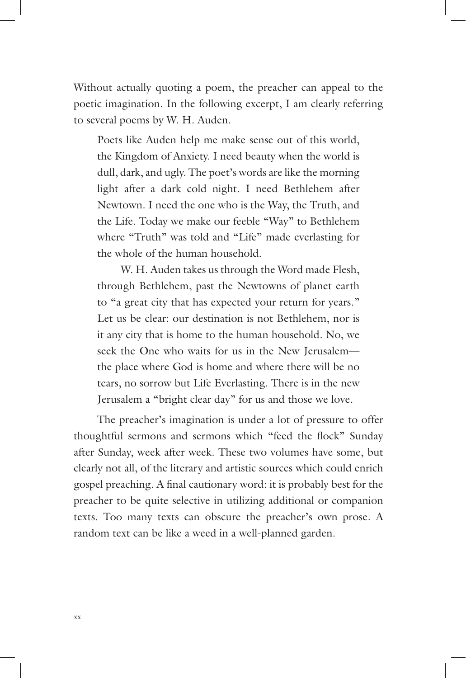Without actually quoting a poem, the preacher can appeal to the poetic imagination. In the following excerpt, I am clearly referring to several poems by W. H. Auden.

Poets like Auden help me make sense out of this world, the Kingdom of Anxiety. I need beauty when the world is dull, dark, and ugly. The poet's words are like the morning light after a dark cold night. I need Bethlehem after Newtown. I need the one who is the Way, the Truth, and the Life. Today we make our feeble "Way" to Bethlehem where "Truth" was told and "Life" made everlasting for the whole of the human household.

W. H. Auden takes us through the Word made Flesh, through Bethlehem, past the Newtowns of planet earth to "a great city that has expected your return for years." Let us be clear: our destination is not Bethlehem, nor is it any city that is home to the human household. No, we seek the One who waits for us in the New Jerusalem the place where God is home and where there will be no tears, no sorrow but Life Everlasting. There is in the new Jerusalem a "bright clear day" for us and those we love.

The preacher's imagination is under a lot of pressure to offer thoughtful sermons and sermons which "feed the flock" Sunday after Sunday, week after week. These two volumes have some, but clearly not all, of the literary and artistic sources which could enrich gospel preaching. A final cautionary word: it is probably best for the preacher to be quite selective in utilizing additional or companion texts. Too many texts can obscure the preacher's own prose. A random text can be like a weed in a well-planned garden.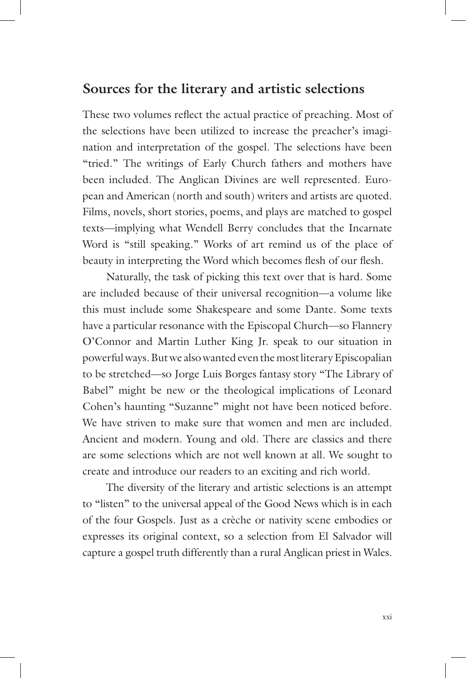#### **Sources for the literary and artistic selections**

These two volumes reflect the actual practice of preaching. Most of the selections have been utilized to increase the preacher's imagination and interpretation of the gospel. The selections have been "tried." The writings of Early Church fathers and mothers have been included. The Anglican Divines are well represented. European and American (north and south) writers and artists are quoted. Films, novels, short stories, poems, and plays are matched to gospel texts—implying what Wendell Berry concludes that the Incarnate Word is "still speaking." Works of art remind us of the place of beauty in interpreting the Word which becomes flesh of our flesh.

Naturally, the task of picking this text over that is hard. Some are included because of their universal recognition—a volume like this must include some Shakespeare and some Dante. Some texts have a particular resonance with the Episcopal Church—so Flannery O'Connor and Martin Luther King Jr. speak to our situation in powerful ways. But we also wanted even the most literary Episcopalian to be stretched—so Jorge Luis Borges fantasy story "The Library of Babel" might be new or the theological implications of Leonard Cohen's haunting "Suzanne" might not have been noticed before. We have striven to make sure that women and men are included. Ancient and modern. Young and old. There are classics and there are some selections which are not well known at all. We sought to create and introduce our readers to an exciting and rich world.

The diversity of the literary and artistic selections is an attempt to "listen" to the universal appeal of the Good News which is in each of the four Gospels. Just as a crèche or nativity scene embodies or expresses its original context, so a selection from El Salvador will capture a gospel truth differently than a rural Anglican priest in Wales.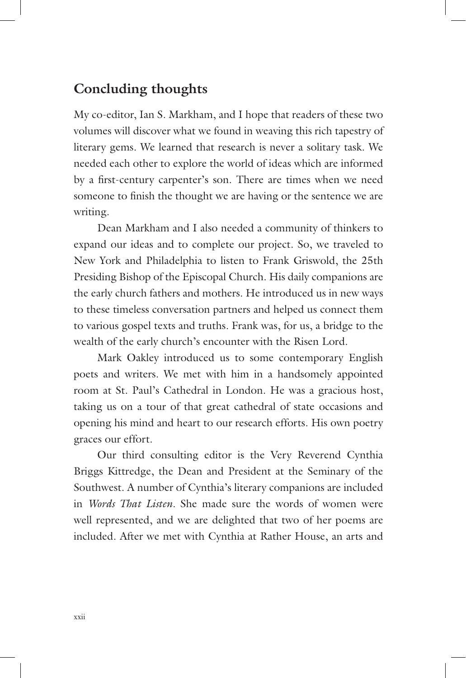### **Concluding thoughts**

My co-editor, Ian S. Markham, and I hope that readers of these two volumes will discover what we found in weaving this rich tapestry of literary gems. We learned that research is never a solitary task. We needed each other to explore the world of ideas which are informed by a first-century carpenter's son. There are times when we need someone to finish the thought we are having or the sentence we are writing.

Dean Markham and I also needed a community of thinkers to expand our ideas and to complete our project. So, we traveled to New York and Philadelphia to listen to Frank Griswold, the 25th Presiding Bishop of the Episcopal Church. His daily companions are the early church fathers and mothers. He introduced us in new ways to these timeless conversation partners and helped us connect them to various gospel texts and truths. Frank was, for us, a bridge to the wealth of the early church's encounter with the Risen Lord.

Mark Oakley introduced us to some contemporary English poets and writers. We met with him in a handsomely appointed room at St. Paul's Cathedral in London. He was a gracious host, taking us on a tour of that great cathedral of state occasions and opening his mind and heart to our research efforts. His own poetry graces our effort.

Our third consulting editor is the Very Reverend Cynthia Briggs Kittredge, the Dean and President at the Seminary of the Southwest. A number of Cynthia's literary companions are included in *Words That Listen.* She made sure the words of women were well represented, and we are delighted that two of her poems are included. After we met with Cynthia at Rather House, an arts and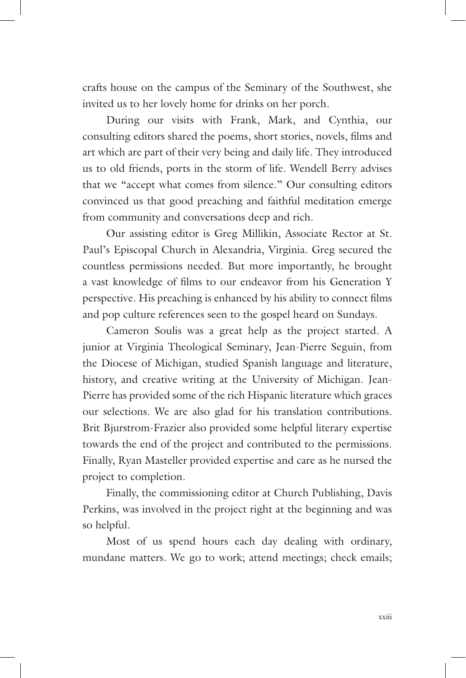crafts house on the campus of the Seminary of the Southwest, she invited us to her lovely home for drinks on her porch.

During our visits with Frank, Mark, and Cynthia, our consulting editors shared the poems, short stories, novels, films and art which are part of their very being and daily life. They introduced us to old friends, ports in the storm of life. Wendell Berry advises that we "accept what comes from silence." Our consulting editors convinced us that good preaching and faithful meditation emerge from community and conversations deep and rich.

Our assisting editor is Greg Millikin, Associate Rector at St. Paul's Episcopal Church in Alexandria, Virginia. Greg secured the countless permissions needed. But more importantly, he brought a vast knowledge of films to our endeavor from his Generation Y perspective. His preaching is enhanced by his ability to connect films and pop culture references seen to the gospel heard on Sundays.

Cameron Soulis was a great help as the project started. A junior at Virginia Theological Seminary, Jean-Pierre Seguin, from the Diocese of Michigan, studied Spanish language and literature, history, and creative writing at the University of Michigan. Jean-Pierre has provided some of the rich Hispanic literature which graces our selections. We are also glad for his translation contributions. Brit Bjurstrom-Frazier also provided some helpful literary expertise towards the end of the project and contributed to the permissions. Finally, Ryan Masteller provided expertise and care as he nursed the project to completion.

Finally, the commissioning editor at Church Publishing, Davis Perkins, was involved in the project right at the beginning and was so helpful.

Most of us spend hours each day dealing with ordinary, mundane matters. We go to work; attend meetings; check emails;